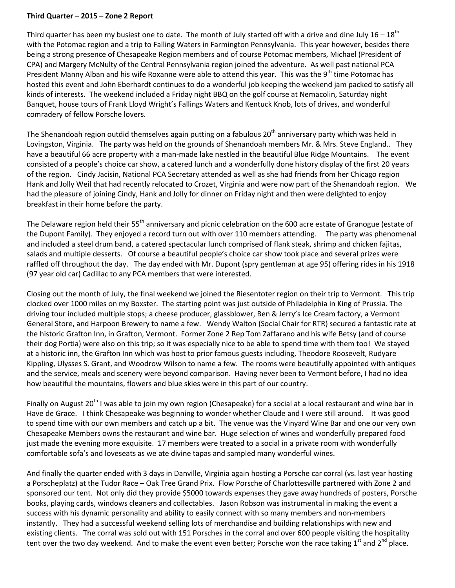## **Third Quarter – 2015 – Zone 2 Report**

Third quarter has been my busiest one to date. The month of July started off with a drive and dine July 16 – 18<sup>th</sup> with the Potomac region and a trip to Falling Waters in Farmington Pennsylvania. This year however, besides there being a strong presence of Chesapeake Region members and of course Potomac members, Michael (President of CPA) and Margery McNulty of the Central Pennsylvania region joined the adventure. As well past national PCA President Manny Alban and his wife Roxanne were able to attend this year. This was the 9<sup>th</sup> time Potomac has hosted this event and John Eberhardt continues to do a wonderful job keeping the weekend jam packed to satisfy all kinds of interests. The weekend included a Friday night BBQ on the golf course at Nemacolin, Saturday night Banquet, house tours of Frank Lloyd Wright's Fallings Waters and Kentuck Knob, lots of drives, and wonderful comradery of fellow Porsche lovers.

The Shenandoah region outdid themselves again putting on a fabulous  $20<sup>th</sup>$  anniversary party which was held in Lovingston, Virginia. The party was held on the grounds of Shenandoah members Mr. & Mrs. Steve England.. They have a beautiful 66 acre property with a man-made lake nestled in the beautiful Blue Ridge Mountains. The event consisted of a people's choice car show, a catered lunch and a wonderfully done history display of the first 20 years of the region. Cindy Jacisin, National PCA Secretary attended as well as she had friends from her Chicago region Hank and Jolly Weil that had recently relocated to Crozet, Virginia and were now part of the Shenandoah region. We had the pleasure of joining Cindy, Hank and Jolly for dinner on Friday night and then were delighted to enjoy breakfast in their home before the party.

The Delaware region held their 55<sup>th</sup> anniversary and picnic celebration on the 600 acre estate of Granogue (estate of the Dupont Family). They enjoyed a record turn out with over 110 members attending. The party was phenomenal and included a steel drum band, a catered spectacular lunch comprised of flank steak, shrimp and chicken fajitas, salads and multiple desserts. Of course a beautiful people's choice car show took place and several prizes were raffled off throughout the day. The day ended with Mr. Dupont (spry gentleman at age 95) offering rides in his 1918 (97 year old car) Cadillac to any PCA members that were interested.

Closing out the month of July, the final weekend we joined the Riesentoter region on their trip to Vermont. This trip clocked over 1000 miles on my Boxster. The starting point was just outside of Philadelphia in King of Prussia. The driving tour included multiple stops; a cheese producer, glassblower, Ben & Jerry's Ice Cream factory, a Vermont General Store, and Harpoon Brewery to name a few. Wendy Walton (Social Chair for RTR) secured a fantastic rate at the historic Grafton Inn, in Grafton, Vermont. Former Zone 2 Rep Tom Zaffarano and his wife Betsy (and of course their dog Portia) were also on this trip; so it was especially nice to be able to spend time with them too! We stayed at a historic inn, the Grafton Inn which was host to prior famous guests including, Theodore Roosevelt, Rudyare Kippling, Ulysses S. Grant, and Woodrow Wilson to name a few. The rooms were beautifully appointed with antiques and the service, meals and scenery were beyond comparison. Having never been to Vermont before, I had no idea how beautiful the mountains, flowers and blue skies were in this part of our country.

Finally on August 20<sup>th</sup> I was able to join my own region (Chesapeake) for a social at a local restaurant and wine bar in Have de Grace. I think Chesapeake was beginning to wonder whether Claude and I were still around. It was good to spend time with our own members and catch up a bit. The venue was the Vinyard Wine Bar and one our very own Chesapeake Members owns the restaurant and wine bar. Huge selection of wines and wonderfully prepared food just made the evening more exquisite. 17 members were treated to a social in a private room with wonderfully comfortable sofa's and loveseats as we ate divine tapas and sampled many wonderful wines.

And finally the quarter ended with 3 days in Danville, Virginia again hosting a Porsche car corral (vs. last year hosting a Porscheplatz) at the Tudor Race – Oak Tree Grand Prix. Flow Porsche of Charlottesville partnered with Zone 2 and sponsored our tent. Not only did they provide \$5000 towards expenses they gave away hundreds of posters, Porsche books, playing cards, windows cleaners and collectables. Jason Robson was instrumental in making the event a success with his dynamic personality and ability to easily connect with so many members and non-members instantly. They had a successful weekend selling lots of merchandise and building relationships with new and existing clients. The corral was sold out with 151 Porsches in the corral and over 600 people visiting the hospitality tent over the two day weekend. And to make the event even better; Porsche won the race taking 1<sup>st</sup> and 2<sup>nd</sup> place.